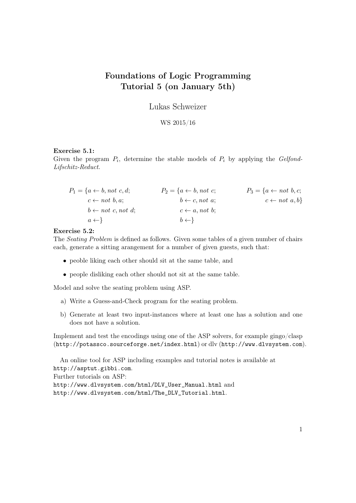# Foundations of Logic Programming Tutorial 5 (on January 5th)

Lukas Schweizer

## WS 2015/16

### Exercise 5.1:

Given the program  $P_i$ , determine the stable models of  $P_i$  by applying the Gelfond-Lifschitz-Reduct.

$$
P_1 = \{a \leftarrow b, not \ c, d; \qquad P_2 = \{a \leftarrow b, not \ c; \qquad P_3 = \{a \leftarrow not \ b, c; \ c \leftarrow not \ b, a; \qquad b \leftarrow c, not \ a; \qquad c \leftarrow not \ a, b\} \}
$$
  

$$
b \leftarrow not \ c, not \ d; \qquad c \leftarrow a, not \ b; \qquad c \leftarrow a, b \}
$$
  

$$
a \leftarrow \}
$$

#### Exercise 5.2:

The Seating Problem is defined as follows. Given some tables of a given number of chairs each, generate a sitting arangement for a number of given guests, such that:

- peoble liking each other should sit at the same table, and
- people disliking each other should not sit at the same table.

Model and solve the seating problem using ASP.

- a) Write a Guess-and-Check program for the seating problem.
- b) Generate at least two input-instances where at least one has a solution and one does not have a solution.

Implement and test the encodings using one of the ASP solvers, for example gingo/clasp (http://potassco.sourceforge.net/index.html) or dlv (http://www.dlvsystem.com).

An online tool for ASP including examples and tutorial notes is available at http://asptut.gibbi.com. Further tutorials on ASP: http://www.dlvsystem.com/html/DLV\_User\_Manual.html and http://www.dlvsystem.com/html/The\_DLV\_Tutorial.html.